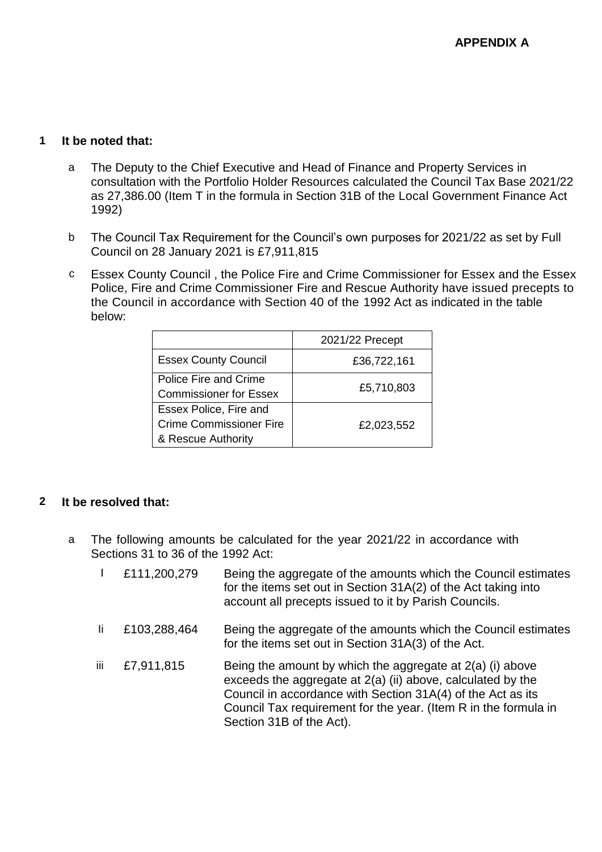# **1 It be noted that:**

- a The Deputy to the Chief Executive and Head of Finance and Property Services in consultation with the Portfolio Holder Resources calculated the Council Tax Base 2021/22 as 27,386.00 (Item T in the formula in Section 31B of the Local Government Finance Act 1992)
- b The Council Tax Requirement for the Council's own purposes for 2021/22 as set by Full Council on 28 January 2021 is £7,911,815
- c Essex County Council , the Police Fire and Crime Commissioner for Essex and the Essex Police, Fire and Crime Commissioner Fire and Rescue Authority have issued precepts to the Council in accordance with Section 40 of the 1992 Act as indicated in the table below:

|                                                                                | 2021/22 Precept |
|--------------------------------------------------------------------------------|-----------------|
| <b>Essex County Council</b>                                                    | £36,722,161     |
| Police Fire and Crime<br><b>Commissioner for Essex</b>                         | £5,710,803      |
| Essex Police, Fire and<br><b>Crime Commissioner Fire</b><br>& Rescue Authority | £2,023,552      |

# **2 It be resolved that:**

- a The following amounts be calculated for the year 2021/22 in accordance with Sections 31 to 36 of the 1992 Act:
	- I £111,200,279 Being the aggregate of the amounts which the Council estimates for the items set out in Section 31A(2) of the Act taking into account all precepts issued to it by Parish Councils. Ii £103,288,464 Being the aggregate of the amounts which the Council estimates for the items set out in Section 31A(3) of the Act. iii  $\pm 7.911,815$  Being the amount by which the aggregate at  $2(a)$  (i) above exceeds the aggregate at 2(a) (ii) above, calculated by the Council in accordance with Section 31A(4) of the Act as its Council Tax requirement for the year. (Item R in the formula in Section 31B of the Act).